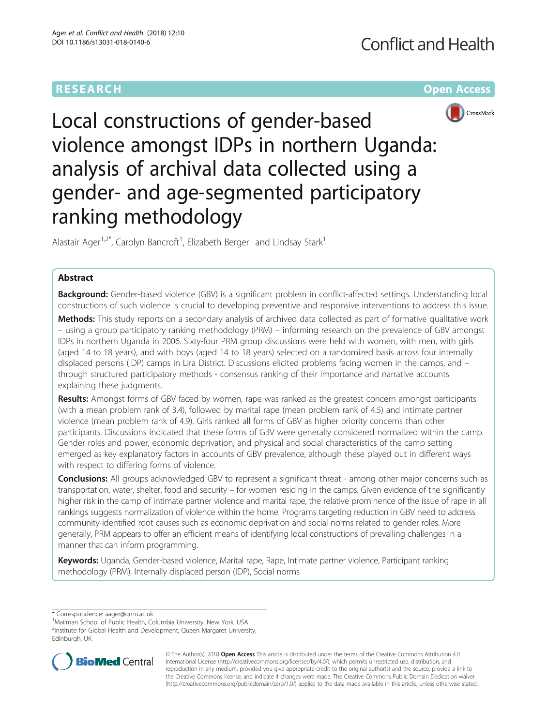# **RESEARCH CHEAR CHEAR CHEAR CHEAR CHEAR CHEAR CHEAR CHEAR CHEAR CHEAR CHEAR CHEAR CHEAR CHEAR CHEAR CHEAR CHEAR**



Local constructions of gender-based violence amongst IDPs in northern Uganda: analysis of archival data collected using a gender- and age-segmented participatory ranking methodology

Alastair Ager<sup>1,2\*</sup>, Carolyn Bancroft<sup>1</sup>, Elizabeth Berger<sup>1</sup> and Lindsay Stark<sup>1</sup>

# Abstract

Background: Gender-based violence (GBV) is a significant problem in conflict-affected settings. Understanding local constructions of such violence is crucial to developing preventive and responsive interventions to address this issue.

Methods: This study reports on a secondary analysis of archived data collected as part of formative qualitative work – using a group participatory ranking methodology (PRM) – informing research on the prevalence of GBV amongst IDPs in northern Uganda in 2006. Sixty-four PRM group discussions were held with women, with men, with girls (aged 14 to 18 years), and with boys (aged 14 to 18 years) selected on a randomized basis across four internally displaced persons (IDP) camps in Lira District. Discussions elicited problems facing women in the camps, and – through structured participatory methods - consensus ranking of their importance and narrative accounts explaining these judgments.

Results: Amongst forms of GBV faced by women, rape was ranked as the greatest concern amongst participants (with a mean problem rank of 3.4), followed by marital rape (mean problem rank of 4.5) and intimate partner violence (mean problem rank of 4.9). Girls ranked all forms of GBV as higher priority concerns than other participants. Discussions indicated that these forms of GBV were generally considered normalized within the camp. Gender roles and power, economic deprivation, and physical and social characteristics of the camp setting emerged as key explanatory factors in accounts of GBV prevalence, although these played out in different ways with respect to differing forms of violence.

**Conclusions:** All groups acknowledged GBV to represent a significant threat - among other major concerns such as transportation, water, shelter, food and security – for women residing in the camps. Given evidence of the significantly higher risk in the camp of intimate partner violence and marital rape, the relative prominence of the issue of rape in all rankings suggests normalization of violence within the home. Programs targeting reduction in GBV need to address community-identified root causes such as economic deprivation and social norms related to gender roles. More generally, PRM appears to offer an efficient means of identifying local constructions of prevailing challenges in a manner that can inform programming.

Keywords: Uganda, Gender-based violence, Marital rape, Rape, Intimate partner violence, Participant ranking methodology (PRM), Internally displaced person (IDP), Social norms

\* Correspondence: [aager@qmu.ac.uk](mailto:aager@qmu.ac.uk) <sup>1</sup>

<sup>1</sup>Mailman School of Public Health, Columbia University, New York, USA <sup>2</sup>Institute for Global Health and Development, Queen Margaret University,

Edinburgh, UK



© The Author(s). 2018 Open Access This article is distributed under the terms of the Creative Commons Attribution 4.0 International License [\(http://creativecommons.org/licenses/by/4.0/](http://creativecommons.org/licenses/by/4.0/)), which permits unrestricted use, distribution, and reproduction in any medium, provided you give appropriate credit to the original author(s) and the source, provide a link to the Creative Commons license, and indicate if changes were made. The Creative Commons Public Domain Dedication waiver [\(http://creativecommons.org/publicdomain/zero/1.0/](http://creativecommons.org/publicdomain/zero/1.0/)) applies to the data made available in this article, unless otherwise stated.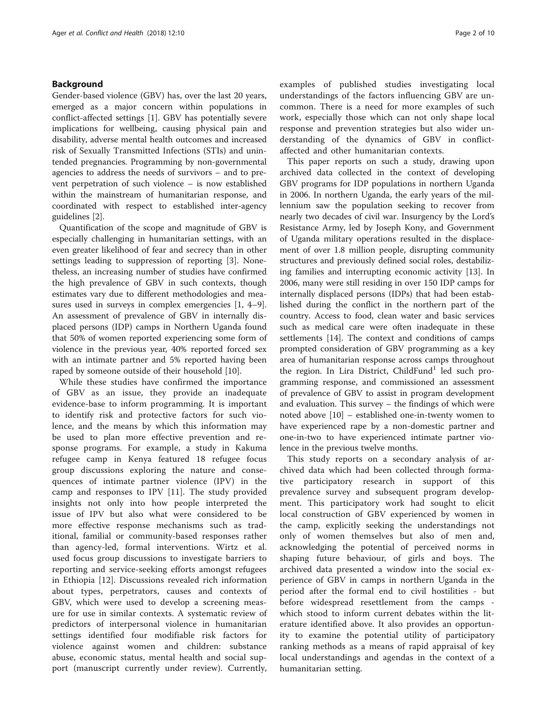# Background

Gender-based violence (GBV) has, over the last 20 years, emerged as a major concern within populations in conflict-affected settings [[1\]](#page-9-0). GBV has potentially severe implications for wellbeing, causing physical pain and disability, adverse mental health outcomes and increased risk of Sexually Transmitted Infections (STIs) and unintended pregnancies. Programming by non-governmental agencies to address the needs of survivors – and to prevent perpetration of such violence – is now established within the mainstream of humanitarian response, and coordinated with respect to established inter-agency guidelines [[2\]](#page-9-0).

Quantification of the scope and magnitude of GBV is especially challenging in humanitarian settings, with an even greater likelihood of fear and secrecy than in other settings leading to suppression of reporting [[3\]](#page-9-0). Nonetheless, an increasing number of studies have confirmed the high prevalence of GBV in such contexts, though estimates vary due to different methodologies and measures used in surveys in complex emergencies [\[1](#page-9-0), [4](#page-9-0)–[9](#page-9-0)]. An assessment of prevalence of GBV in internally displaced persons (IDP) camps in Northern Uganda found that 50% of women reported experiencing some form of violence in the previous year, 40% reported forced sex with an intimate partner and 5% reported having been raped by someone outside of their household [\[10\]](#page-9-0).

While these studies have confirmed the importance of GBV as an issue, they provide an inadequate evidence-base to inform programming. It is important to identify risk and protective factors for such violence, and the means by which this information may be used to plan more effective prevention and response programs. For example, a study in Kakuma refugee camp in Kenya featured 18 refugee focus group discussions exploring the nature and consequences of intimate partner violence (IPV) in the camp and responses to IPV [[11\]](#page-9-0). The study provided insights not only into how people interpreted the issue of IPV but also what were considered to be more effective response mechanisms such as traditional, familial or community-based responses rather than agency-led, formal interventions. Wirtz et al. used focus group discussions to investigate barriers to reporting and service-seeking efforts amongst refugees in Ethiopia [[12\]](#page-9-0). Discussions revealed rich information about types, perpetrators, causes and contexts of GBV, which were used to develop a screening measure for use in similar contexts. A systematic review of predictors of interpersonal violence in humanitarian settings identified four modifiable risk factors for violence against women and children: substance abuse, economic status, mental health and social support (manuscript currently under review). Currently,

examples of published studies investigating local understandings of the factors influencing GBV are uncommon. There is a need for more examples of such work, especially those which can not only shape local response and prevention strategies but also wider understanding of the dynamics of GBV in conflictaffected and other humanitarian contexts.

This paper reports on such a study, drawing upon archived data collected in the context of developing GBV programs for IDP populations in northern Uganda in 2006. In northern Uganda, the early years of the millennium saw the population seeking to recover from nearly two decades of civil war. Insurgency by the Lord's Resistance Army, led by Joseph Kony, and Government of Uganda military operations resulted in the displacement of over 1.8 million people, disrupting community structures and previously defined social roles, destabilizing families and interrupting economic activity [[13](#page-9-0)]. In 2006, many were still residing in over 150 IDP camps for internally displaced persons (IDPs) that had been established during the conflict in the northern part of the country. Access to food, clean water and basic services such as medical care were often inadequate in these settlements [[14\]](#page-9-0). The context and conditions of camps prompted consideration of GBV programming as a key area of humanitarian response across camps throughout the region. In Lira District,  $ChildFund<sup>1</sup>$  led such programming response, and commissioned an assessment of prevalence of GBV to assist in program development and evaluation. This survey – the findings of which were noted above [[10\]](#page-9-0) – established one-in-twenty women to have experienced rape by a non-domestic partner and one-in-two to have experienced intimate partner violence in the previous twelve months.

This study reports on a secondary analysis of archived data which had been collected through formative participatory research in support of this prevalence survey and subsequent program development. This participatory work had sought to elicit local construction of GBV experienced by women in the camp, explicitly seeking the understandings not only of women themselves but also of men and, acknowledging the potential of perceived norms in shaping future behaviour, of girls and boys. The archived data presented a window into the social experience of GBV in camps in northern Uganda in the period after the formal end to civil hostilities - but before widespread resettlement from the camps which stood to inform current debates within the literature identified above. It also provides an opportunity to examine the potential utility of participatory ranking methods as a means of rapid appraisal of key local understandings and agendas in the context of a humanitarian setting.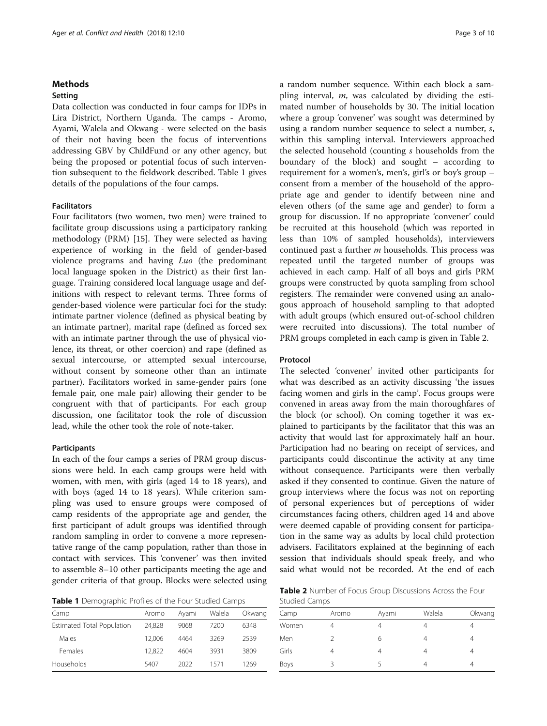# Methods

# Setting

Data collection was conducted in four camps for IDPs in Lira District, Northern Uganda. The camps - Aromo, Ayami, Walela and Okwang - were selected on the basis of their not having been the focus of interventions addressing GBV by ChildFund or any other agency, but being the proposed or potential focus of such intervention subsequent to the fieldwork described. Table 1 gives details of the populations of the four camps.

# Facilitators

Four facilitators (two women, two men) were trained to facilitate group discussions using a participatory ranking methodology (PRM) [\[15\]](#page-9-0). They were selected as having experience of working in the field of gender-based violence programs and having Luo (the predominant local language spoken in the District) as their first language. Training considered local language usage and definitions with respect to relevant terms. Three forms of gender-based violence were particular foci for the study: intimate partner violence (defined as physical beating by an intimate partner), marital rape (defined as forced sex with an intimate partner through the use of physical violence, its threat, or other coercion) and rape (defined as sexual intercourse, or attempted sexual intercourse, without consent by someone other than an intimate partner). Facilitators worked in same-gender pairs (one female pair, one male pair) allowing their gender to be congruent with that of participants. For each group discussion, one facilitator took the role of discussion lead, while the other took the role of note-taker.

# Participants

In each of the four camps a series of PRM group discussions were held. In each camp groups were held with women, with men, with girls (aged 14 to 18 years), and with boys (aged 14 to 18 years). While criterion sampling was used to ensure groups were composed of camp residents of the appropriate age and gender, the first participant of adult groups was identified through random sampling in order to convene a more representative range of the camp population, rather than those in contact with services. This 'convener' was then invited to assemble 8–10 other participants meeting the age and gender criteria of that group. Blocks were selected using

Table 1 Demographic Profiles of the Four Studied Camps

| Camp                              | Aromo  | Ayami | Walela | Okwang |
|-----------------------------------|--------|-------|--------|--------|
| <b>Estimated Total Population</b> | 24.828 | 9068  | 7200   | 6348   |
| Males                             | 12.006 | 4464  | 3269   | 2539   |
| Females                           | 12.822 | 4604  | 3931   | 3809   |
| Households                        | 5407   | 2022  | 1571   | 1269   |

a random number sequence. Within each block a sampling interval,  $m$ , was calculated by dividing the estimated number of households by 30. The initial location where a group 'convener' was sought was determined by using a random number sequence to select a number, s, within this sampling interval. Interviewers approached the selected household (counting s households from the boundary of the block) and sought – according to requirement for a women's, men's, girl's or boy's group – consent from a member of the household of the appropriate age and gender to identify between nine and eleven others (of the same age and gender) to form a group for discussion. If no appropriate 'convener' could be recruited at this household (which was reported in less than 10% of sampled households), interviewers continued past a further  $m$  households. This process was repeated until the targeted number of groups was achieved in each camp. Half of all boys and girls PRM groups were constructed by quota sampling from school registers. The remainder were convened using an analogous approach of household sampling to that adopted with adult groups (which ensured out-of-school children were recruited into discussions). The total number of PRM groups completed in each camp is given in Table 2.

### Protocol

The selected 'convener' invited other participants for what was described as an activity discussing 'the issues facing women and girls in the camp'. Focus groups were convened in areas away from the main thoroughfares of the block (or school). On coming together it was explained to participants by the facilitator that this was an activity that would last for approximately half an hour. Participation had no bearing on receipt of services, and participants could discontinue the activity at any time without consequence. Participants were then verbally asked if they consented to continue. Given the nature of group interviews where the focus was not on reporting of personal experiences but of perceptions of wider circumstances facing others, children aged 14 and above were deemed capable of providing consent for participation in the same way as adults by local child protection advisers. Facilitators explained at the beginning of each session that individuals should speak freely, and who said what would not be recorded. At the end of each

Table 2 Number of Focus Group Discussions Across the Four Studied Camps

| stadica carribs |       |       |                |        |  |
|-----------------|-------|-------|----------------|--------|--|
| Camp            | Aromo | Ayami | Walela         | Okwang |  |
| Women           |       |       |                |        |  |
| Men             |       | 6     | $\overline{4}$ |        |  |
| Girls           |       |       | 4              |        |  |
| Boys            | ੨     |       | 4              |        |  |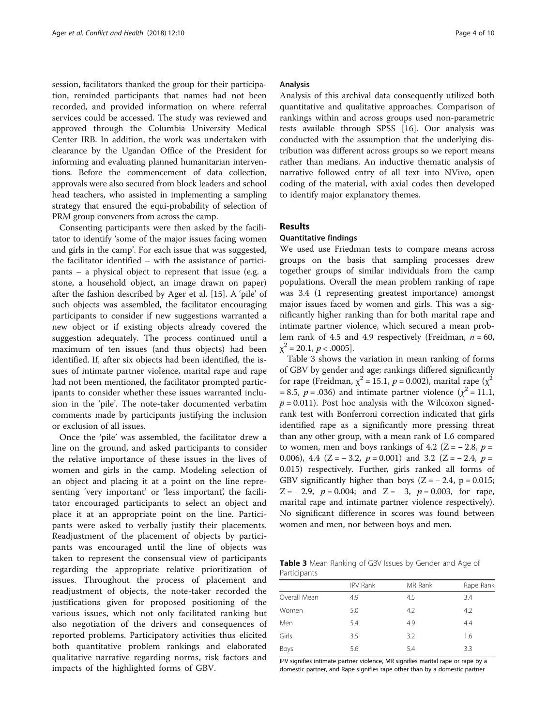session, facilitators thanked the group for their participation, reminded participants that names had not been recorded, and provided information on where referral services could be accessed. The study was reviewed and approved through the Columbia University Medical Center IRB. In addition, the work was undertaken with clearance by the Ugandan Office of the President for informing and evaluating planned humanitarian interventions. Before the commencement of data collection, approvals were also secured from block leaders and school head teachers, who assisted in implementing a sampling strategy that ensured the equi-probability of selection of PRM group conveners from across the camp.

Consenting participants were then asked by the facilitator to identify 'some of the major issues facing women and girls in the camp'. For each issue that was suggested, the facilitator identified – with the assistance of participants – a physical object to represent that issue (e.g. a stone, a household object, an image drawn on paper) after the fashion described by Ager et al. [[15](#page-9-0)]. A 'pile' of such objects was assembled, the facilitator encouraging participants to consider if new suggestions warranted a new object or if existing objects already covered the suggestion adequately. The process continued until a maximum of ten issues (and thus objects) had been identified. If, after six objects had been identified, the issues of intimate partner violence, marital rape and rape had not been mentioned, the facilitator prompted participants to consider whether these issues warranted inclusion in the 'pile'. The note-taker documented verbatim comments made by participants justifying the inclusion or exclusion of all issues.

Once the 'pile' was assembled, the facilitator drew a line on the ground, and asked participants to consider the relative importance of these issues in the lives of women and girls in the camp. Modeling selection of an object and placing it at a point on the line representing 'very important' or 'less important', the facilitator encouraged participants to select an object and place it at an appropriate point on the line. Participants were asked to verbally justify their placements. Readjustment of the placement of objects by participants was encouraged until the line of objects was taken to represent the consensual view of participants regarding the appropriate relative prioritization of issues. Throughout the process of placement and readjustment of objects, the note-taker recorded the justifications given for proposed positioning of the various issues, which not only facilitated ranking but also negotiation of the drivers and consequences of reported problems. Participatory activities thus elicited both quantitative problem rankings and elaborated qualitative narrative regarding norms, risk factors and impacts of the highlighted forms of GBV.

# Analysis

Analysis of this archival data consequently utilized both quantitative and qualitative approaches. Comparison of rankings within and across groups used non-parametric tests available through SPSS [[16](#page-9-0)]. Our analysis was conducted with the assumption that the underlying distribution was different across groups so we report means rather than medians. An inductive thematic analysis of narrative followed entry of all text into NVivo, open coding of the material, with axial codes then developed to identify major explanatory themes.

# Results

### Quantitative findings

We used use Friedman tests to compare means across groups on the basis that sampling processes drew together groups of similar individuals from the camp populations. Overall the mean problem ranking of rape was 3.4 (1 representing greatest importance) amongst major issues faced by women and girls. This was a significantly higher ranking than for both marital rape and intimate partner violence, which secured a mean problem rank of 4.5 and 4.9 respectively (Freidman,  $n = 60$ ,  $\chi^2$  = 20.1, p < .0005].

Table 3 shows the variation in mean ranking of forms of GBV by gender and age; rankings differed significantly for rape (Freidman,  $\chi^2$  = 15.1,  $p$  = 0.002), marital rape ( $\chi^2$ = 8.5,  $p = .036$ ) and intimate partner violence ( $\chi^2 = 11.1$ ,  $p = 0.011$ ). Post hoc analysis with the Wilcoxon signedrank test with Bonferroni correction indicated that girls identified rape as a significantly more pressing threat than any other group, with a mean rank of 1.6 compared to women, men and boys rankings of 4.2 ( $Z = -2.8$ ,  $p =$ 0.006), 4.4 ( $Z = -3.2$ ,  $p = 0.001$ ) and 3.2 ( $Z = -2.4$ ,  $p =$ 0.015) respectively. Further, girls ranked all forms of GBV significantly higher than boys  $(Z = -2.4, p = 0.015;$  $Z = -2.9$ ,  $p = 0.004$ ; and  $Z = -3$ ,  $p = 0.003$ , for rape, marital rape and intimate partner violence respectively). No significant difference in scores was found between women and men, nor between boys and men.

Table 3 Mean Ranking of GBV Issues by Gender and Age of Participants

|              | <b>IPV Rank</b> | MR Rank | Rape Rank |  |  |  |
|--------------|-----------------|---------|-----------|--|--|--|
| Overall Mean | 4.9             | 4.5     | 3.4       |  |  |  |
| Women        | 5.0             | 4.2     | 4.2       |  |  |  |
| Men          | 5.4             | 4.9     | 4.4       |  |  |  |
| Girls        | 3.5             | 3.2     | 1.6       |  |  |  |
| Boys         | 5.6             | 5.4     | 3.3       |  |  |  |

IPV signifies intimate partner violence, MR signifies marital rape or rape by a domestic partner, and Rape signifies rape other than by a domestic partner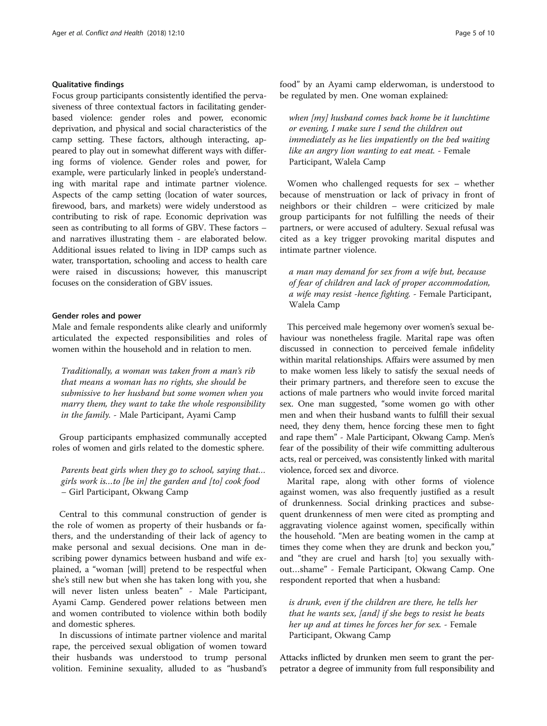### Qualitative findings

Focus group participants consistently identified the pervasiveness of three contextual factors in facilitating genderbased violence: gender roles and power, economic deprivation, and physical and social characteristics of the camp setting. These factors, although interacting, appeared to play out in somewhat different ways with differing forms of violence. Gender roles and power, for example, were particularly linked in people's understanding with marital rape and intimate partner violence. Aspects of the camp setting (location of water sources, firewood, bars, and markets) were widely understood as contributing to risk of rape. Economic deprivation was seen as contributing to all forms of GBV. These factors – and narratives illustrating them - are elaborated below. Additional issues related to living in IDP camps such as water, transportation, schooling and access to health care were raised in discussions; however, this manuscript focuses on the consideration of GBV issues.

#### Gender roles and power

Male and female respondents alike clearly and uniformly articulated the expected responsibilities and roles of women within the household and in relation to men.

Traditionally, a woman was taken from a man's rib that means a woman has no rights, she should be submissive to her husband but some women when you marry them, they want to take the whole responsibility in the family. - Male Participant, Ayami Camp

Group participants emphasized communally accepted roles of women and girls related to the domestic sphere.

Parents beat girls when they go to school, saying that… girls work is…to [be in] the garden and [to] cook food – Girl Participant, Okwang Camp

Central to this communal construction of gender is the role of women as property of their husbands or fathers, and the understanding of their lack of agency to make personal and sexual decisions. One man in describing power dynamics between husband and wife explained, a "woman [will] pretend to be respectful when she's still new but when she has taken long with you, she will never listen unless beaten" - Male Participant, Ayami Camp. Gendered power relations between men and women contributed to violence within both bodily and domestic spheres.

In discussions of intimate partner violence and marital rape, the perceived sexual obligation of women toward their husbands was understood to trump personal volition. Feminine sexuality, alluded to as "husband's food" by an Ayami camp elderwoman, is understood to be regulated by men. One woman explained:

when [my] husband comes back home be it lunchtime or evening, I make sure I send the children out immediately as he lies impatiently on the bed waiting like an angry lion wanting to eat meat. - Female Participant, Walela Camp

Women who challenged requests for sex – whether because of menstruation or lack of privacy in front of neighbors or their children – were criticized by male group participants for not fulfilling the needs of their partners, or were accused of adultery. Sexual refusal was cited as a key trigger provoking marital disputes and intimate partner violence.

a man may demand for sex from a wife but, because of fear of children and lack of proper accommodation, a wife may resist -hence fighting. - Female Participant, Walela Camp

This perceived male hegemony over women's sexual behaviour was nonetheless fragile. Marital rape was often discussed in connection to perceived female infidelity within marital relationships. Affairs were assumed by men to make women less likely to satisfy the sexual needs of their primary partners, and therefore seen to excuse the actions of male partners who would invite forced marital sex. One man suggested, "some women go with other men and when their husband wants to fulfill their sexual need, they deny them, hence forcing these men to fight and rape them" - Male Participant, Okwang Camp. Men's fear of the possibility of their wife committing adulterous acts, real or perceived, was consistently linked with marital violence, forced sex and divorce.

Marital rape, along with other forms of violence against women, was also frequently justified as a result of drunkenness. Social drinking practices and subsequent drunkenness of men were cited as prompting and aggravating violence against women, specifically within the household. "Men are beating women in the camp at times they come when they are drunk and beckon you," and "they are cruel and harsh [to] you sexually without…shame" - Female Participant, Okwang Camp. One respondent reported that when a husband:

is drunk, even if the children are there, he tells her that he wants sex, [and] if she begs to resist he beats her up and at times he forces her for sex. - Female Participant, Okwang Camp

Attacks inflicted by drunken men seem to grant the perpetrator a degree of immunity from full responsibility and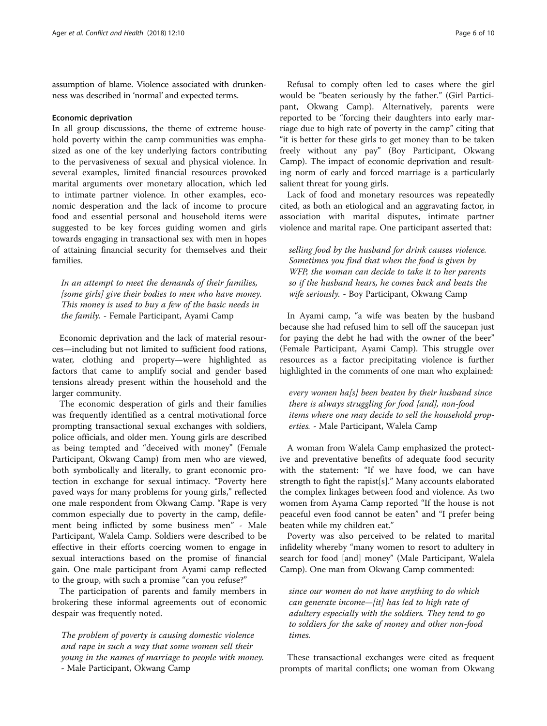assumption of blame. Violence associated with drunkenness was described in 'normal' and expected terms.

#### Economic deprivation

In all group discussions, the theme of extreme household poverty within the camp communities was emphasized as one of the key underlying factors contributing to the pervasiveness of sexual and physical violence. In several examples, limited financial resources provoked marital arguments over monetary allocation, which led to intimate partner violence. In other examples, economic desperation and the lack of income to procure food and essential personal and household items were suggested to be key forces guiding women and girls towards engaging in transactional sex with men in hopes of attaining financial security for themselves and their families.

In an attempt to meet the demands of their families, [some girls] give their bodies to men who have money. This money is used to buy a few of the basic needs in the family. - Female Participant, Ayami Camp

Economic deprivation and the lack of material resources—including but not limited to sufficient food rations, water, clothing and property—were highlighted as factors that came to amplify social and gender based tensions already present within the household and the larger community.

The economic desperation of girls and their families was frequently identified as a central motivational force prompting transactional sexual exchanges with soldiers, police officials, and older men. Young girls are described as being tempted and "deceived with money" (Female Participant, Okwang Camp) from men who are viewed, both symbolically and literally, to grant economic protection in exchange for sexual intimacy. "Poverty here paved ways for many problems for young girls," reflected one male respondent from Okwang Camp. "Rape is very common especially due to poverty in the camp, defilement being inflicted by some business men" - Male Participant, Walela Camp. Soldiers were described to be effective in their efforts coercing women to engage in sexual interactions based on the promise of financial gain. One male participant from Ayami camp reflected to the group, with such a promise "can you refuse?"

The participation of parents and family members in brokering these informal agreements out of economic despair was frequently noted.

The problem of poverty is causing domestic violence and rape in such a way that some women sell their young in the names of marriage to people with money. - Male Participant, Okwang Camp

Refusal to comply often led to cases where the girl would be "beaten seriously by the father." (Girl Participant, Okwang Camp). Alternatively, parents were reported to be "forcing their daughters into early marriage due to high rate of poverty in the camp" citing that "it is better for these girls to get money than to be taken freely without any pay" (Boy Participant, Okwang Camp). The impact of economic deprivation and resulting norm of early and forced marriage is a particularly salient threat for young girls.

Lack of food and monetary resources was repeatedly cited, as both an etiological and an aggravating factor, in association with marital disputes, intimate partner violence and marital rape. One participant asserted that:

selling food by the husband for drink causes violence. Sometimes you find that when the food is given by WFP, the woman can decide to take it to her parents so if the husband hears, he comes back and beats the wife seriously. - Boy Participant, Okwang Camp

In Ayami camp, "a wife was beaten by the husband because she had refused him to sell off the saucepan just for paying the debt he had with the owner of the beer" (Female Participant, Ayami Camp). This struggle over resources as a factor precipitating violence is further highlighted in the comments of one man who explained:

every women ha[s] been beaten by their husband since there is always struggling for food [and], non-food items where one may decide to sell the household properties. - Male Participant, Walela Camp

A woman from Walela Camp emphasized the protective and preventative benefits of adequate food security with the statement: "If we have food, we can have strength to fight the rapist[s]." Many accounts elaborated the complex linkages between food and violence. As two women from Ayama Camp reported "If the house is not peaceful even food cannot be eaten" and "I prefer being beaten while my children eat."

Poverty was also perceived to be related to marital infidelity whereby "many women to resort to adultery in search for food [and] money" (Male Participant, Walela Camp). One man from Okwang Camp commented:

since our women do not have anything to do which can generate income—[it] has led to high rate of adultery especially with the soldiers. They tend to go to soldiers for the sake of money and other non-food times.

These transactional exchanges were cited as frequent prompts of marital conflicts; one woman from Okwang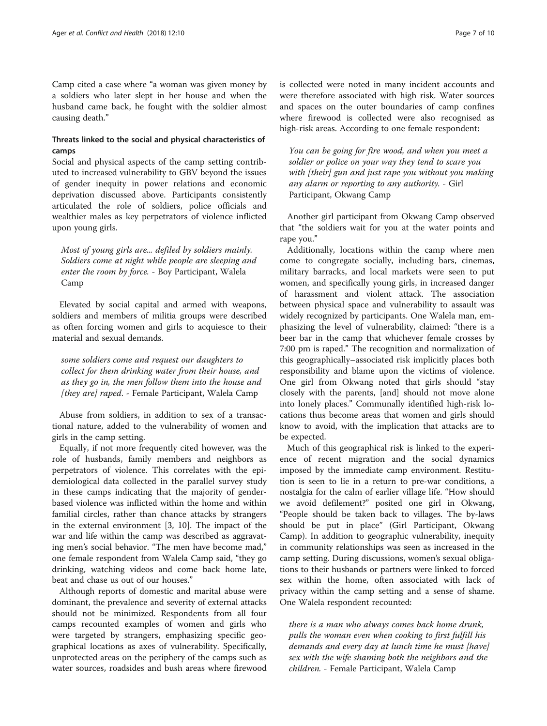Camp cited a case where "a woman was given money by a soldiers who later slept in her house and when the husband came back, he fought with the soldier almost causing death."

# Threats linked to the social and physical characteristics of camps

Social and physical aspects of the camp setting contributed to increased vulnerability to GBV beyond the issues of gender inequity in power relations and economic deprivation discussed above. Participants consistently articulated the role of soldiers, police officials and wealthier males as key perpetrators of violence inflicted upon young girls.

Most of young girls are... defiled by soldiers mainly. Soldiers come at night while people are sleeping and enter the room by force. - Boy Participant, Walela Camp

Elevated by social capital and armed with weapons, soldiers and members of militia groups were described as often forcing women and girls to acquiesce to their material and sexual demands.

some soldiers come and request our daughters to collect for them drinking water from their house, and as they go in, the men follow them into the house and [they are] raped. - Female Participant, Walela Camp

Abuse from soldiers, in addition to sex of a transactional nature, added to the vulnerability of women and girls in the camp setting.

Equally, if not more frequently cited however, was the role of husbands, family members and neighbors as perpetrators of violence. This correlates with the epidemiological data collected in the parallel survey study in these camps indicating that the majority of genderbased violence was inflicted within the home and within familial circles, rather than chance attacks by strangers in the external environment [[3](#page-9-0), [10\]](#page-9-0). The impact of the war and life within the camp was described as aggravating men's social behavior. "The men have become mad," one female respondent from Walela Camp said, "they go drinking, watching videos and come back home late, beat and chase us out of our houses."

Although reports of domestic and marital abuse were dominant, the prevalence and severity of external attacks should not be minimized. Respondents from all four camps recounted examples of women and girls who were targeted by strangers, emphasizing specific geographical locations as axes of vulnerability. Specifically, unprotected areas on the periphery of the camps such as water sources, roadsides and bush areas where firewood is collected were noted in many incident accounts and were therefore associated with high risk. Water sources and spaces on the outer boundaries of camp confines where firewood is collected were also recognised as high-risk areas. According to one female respondent:

You can be going for fire wood, and when you meet a soldier or police on your way they tend to scare you with [their] gun and just rape you without you making any alarm or reporting to any authority. - Girl Participant, Okwang Camp

Another girl participant from Okwang Camp observed that "the soldiers wait for you at the water points and rape you."

Additionally, locations within the camp where men come to congregate socially, including bars, cinemas, military barracks, and local markets were seen to put women, and specifically young girls, in increased danger of harassment and violent attack. The association between physical space and vulnerability to assault was widely recognized by participants. One Walela man, emphasizing the level of vulnerability, claimed: "there is a beer bar in the camp that whichever female crosses by 7:00 pm is raped." The recognition and normalization of this geographically–associated risk implicitly places both responsibility and blame upon the victims of violence. One girl from Okwang noted that girls should "stay closely with the parents, [and] should not move alone into lonely places." Communally identified high-risk locations thus become areas that women and girls should know to avoid, with the implication that attacks are to be expected.

Much of this geographical risk is linked to the experience of recent migration and the social dynamics imposed by the immediate camp environment. Restitution is seen to lie in a return to pre-war conditions, a nostalgia for the calm of earlier village life. "How should we avoid defilement?" posited one girl in Okwang, "People should be taken back to villages. The by-laws should be put in place" (Girl Participant, Okwang Camp). In addition to geographic vulnerability, inequity in community relationships was seen as increased in the camp setting. During discussions, women's sexual obligations to their husbands or partners were linked to forced sex within the home, often associated with lack of privacy within the camp setting and a sense of shame. One Walela respondent recounted:

there is a man who always comes back home drunk, pulls the woman even when cooking to first fulfill his demands and every day at lunch time he must [have] sex with the wife shaming both the neighbors and the children. - Female Participant, Walela Camp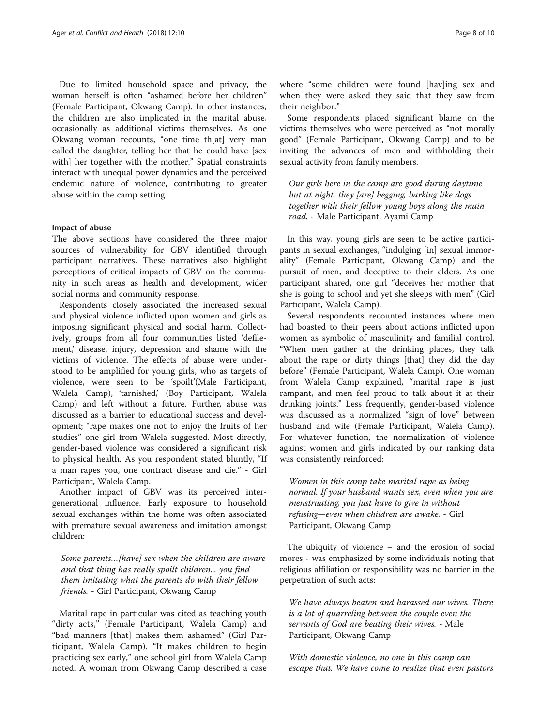Due to limited household space and privacy, the woman herself is often "ashamed before her children" (Female Participant, Okwang Camp). In other instances, the children are also implicated in the marital abuse, occasionally as additional victims themselves. As one Okwang woman recounts, "one time th[at] very man called the daughter, telling her that he could have [sex with] her together with the mother." Spatial constraints interact with unequal power dynamics and the perceived endemic nature of violence, contributing to greater abuse within the camp setting.

# Impact of abuse

The above sections have considered the three major sources of vulnerability for GBV identified through participant narratives. These narratives also highlight perceptions of critical impacts of GBV on the community in such areas as health and development, wider social norms and community response.

Respondents closely associated the increased sexual and physical violence inflicted upon women and girls as imposing significant physical and social harm. Collectively, groups from all four communities listed 'defilement,' disease, injury, depression and shame with the victims of violence. The effects of abuse were understood to be amplified for young girls, who as targets of violence, were seen to be 'spoilt'(Male Participant, Walela Camp), 'tarnished,' (Boy Participant, Walela Camp) and left without a future. Further, abuse was discussed as a barrier to educational success and development; "rape makes one not to enjoy the fruits of her studies" one girl from Walela suggested. Most directly, gender-based violence was considered a significant risk to physical health. As you respondent stated bluntly, "If a man rapes you, one contract disease and die." - Girl Participant, Walela Camp.

Another impact of GBV was its perceived intergenerational influence. Early exposure to household sexual exchanges within the home was often associated with premature sexual awareness and imitation amongst children:

Some parents…[have] sex when the children are aware and that thing has really spoilt children... you find them imitating what the parents do with their fellow friends. - Girl Participant, Okwang Camp

Marital rape in particular was cited as teaching youth "dirty acts," (Female Participant, Walela Camp) and "bad manners [that] makes them ashamed" (Girl Participant, Walela Camp). "It makes children to begin practicing sex early," one school girl from Walela Camp noted. A woman from Okwang Camp described a case where "some children were found [hav]ing sex and when they were asked they said that they saw from their neighbor."

Some respondents placed significant blame on the victims themselves who were perceived as "not morally good" (Female Participant, Okwang Camp) and to be inviting the advances of men and withholding their sexual activity from family members.

Our girls here in the camp are good during daytime but at night, they [are] begging, barking like dogs together with their fellow young boys along the main road. - Male Participant, Ayami Camp

In this way, young girls are seen to be active participants in sexual exchanges, "indulging [in] sexual immorality" (Female Participant, Okwang Camp) and the pursuit of men, and deceptive to their elders. As one participant shared, one girl "deceives her mother that she is going to school and yet she sleeps with men" (Girl Participant, Walela Camp).

Several respondents recounted instances where men had boasted to their peers about actions inflicted upon women as symbolic of masculinity and familial control. "When men gather at the drinking places, they talk about the rape or dirty things [that] they did the day before" (Female Participant, Walela Camp). One woman from Walela Camp explained, "marital rape is just rampant, and men feel proud to talk about it at their drinking joints." Less frequently, gender-based violence was discussed as a normalized "sign of love" between husband and wife (Female Participant, Walela Camp). For whatever function, the normalization of violence against women and girls indicated by our ranking data was consistently reinforced:

Women in this camp take marital rape as being normal. If your husband wants sex, even when you are menstruating, you just have to give in without refusing—even when children are awake. - Girl Participant, Okwang Camp

The ubiquity of violence – and the erosion of social mores - was emphasized by some individuals noting that religious affiliation or responsibility was no barrier in the perpetration of such acts:

We have always beaten and harassed our wives. There is a lot of quarreling between the couple even the servants of God are beating their wives. - Male Participant, Okwang Camp

With domestic violence, no one in this camp can escape that. We have come to realize that even pastors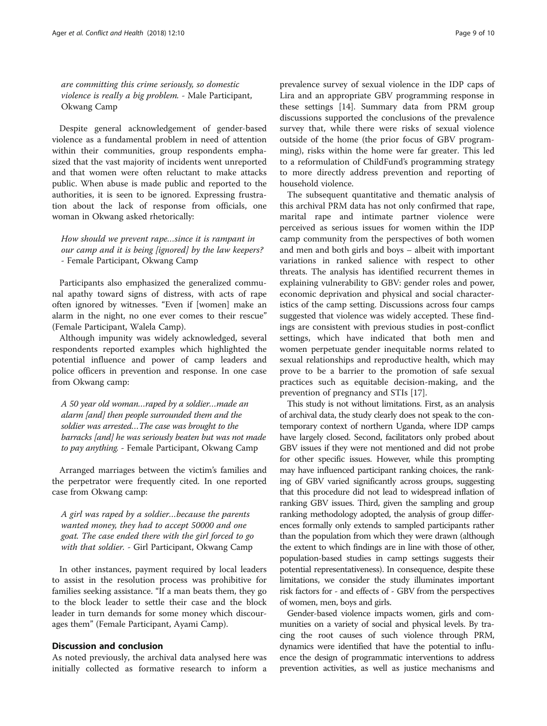are committing this crime seriously, so domestic violence is really a big problem. - Male Participant, Okwang Camp

Despite general acknowledgement of gender-based violence as a fundamental problem in need of attention within their communities, group respondents emphasized that the vast majority of incidents went unreported and that women were often reluctant to make attacks public. When abuse is made public and reported to the authorities, it is seen to be ignored. Expressing frustration about the lack of response from officials, one woman in Okwang asked rhetorically:

How should we prevent rape…since it is rampant in our camp and it is being [ignored] by the law keepers? - Female Participant, Okwang Camp

Participants also emphasized the generalized communal apathy toward signs of distress, with acts of rape often ignored by witnesses. "Even if [women] make an alarm in the night, no one ever comes to their rescue" (Female Participant, Walela Camp).

Although impunity was widely acknowledged, several respondents reported examples which highlighted the potential influence and power of camp leaders and police officers in prevention and response. In one case from Okwang camp:

A 50 year old woman…raped by a soldier…made an alarm [and] then people surrounded them and the soldier was arrested…The case was brought to the barracks [and] he was seriously beaten but was not made to pay anything. - Female Participant, Okwang Camp

Arranged marriages between the victim's families and the perpetrator were frequently cited. In one reported case from Okwang camp:

A girl was raped by a soldier…because the parents wanted money, they had to accept 50000 and one goat. The case ended there with the girl forced to go with that soldier. - Girl Participant, Okwang Camp

In other instances, payment required by local leaders to assist in the resolution process was prohibitive for families seeking assistance. "If a man beats them, they go to the block leader to settle their case and the block leader in turn demands for some money which discourages them" (Female Participant, Ayami Camp).

# Discussion and conclusion

As noted previously, the archival data analysed here was initially collected as formative research to inform a

prevalence survey of sexual violence in the IDP caps of Lira and an appropriate GBV programming response in these settings [\[14\]](#page-9-0). Summary data from PRM group discussions supported the conclusions of the prevalence survey that, while there were risks of sexual violence outside of the home (the prior focus of GBV programming), risks within the home were far greater. This led to a reformulation of ChildFund's programming strategy to more directly address prevention and reporting of household violence.

The subsequent quantitative and thematic analysis of this archival PRM data has not only confirmed that rape, marital rape and intimate partner violence were perceived as serious issues for women within the IDP camp community from the perspectives of both women and men and both girls and boys – albeit with important variations in ranked salience with respect to other threats. The analysis has identified recurrent themes in explaining vulnerability to GBV: gender roles and power, economic deprivation and physical and social characteristics of the camp setting. Discussions across four camps suggested that violence was widely accepted. These findings are consistent with previous studies in post-conflict settings, which have indicated that both men and women perpetuate gender inequitable norms related to sexual relationships and reproductive health, which may prove to be a barrier to the promotion of safe sexual practices such as equitable decision-making, and the prevention of pregnancy and STIs [\[17\]](#page-9-0).

This study is not without limitations. First, as an analysis of archival data, the study clearly does not speak to the contemporary context of northern Uganda, where IDP camps have largely closed. Second, facilitators only probed about GBV issues if they were not mentioned and did not probe for other specific issues. However, while this prompting may have influenced participant ranking choices, the ranking of GBV varied significantly across groups, suggesting that this procedure did not lead to widespread inflation of ranking GBV issues. Third, given the sampling and group ranking methodology adopted, the analysis of group differences formally only extends to sampled participants rather than the population from which they were drawn (although the extent to which findings are in line with those of other, population-based studies in camp settings suggests their potential representativeness). In consequence, despite these limitations, we consider the study illuminates important risk factors for - and effects of - GBV from the perspectives of women, men, boys and girls.

Gender-based violence impacts women, girls and communities on a variety of social and physical levels. By tracing the root causes of such violence through PRM, dynamics were identified that have the potential to influence the design of programmatic interventions to address prevention activities, as well as justice mechanisms and